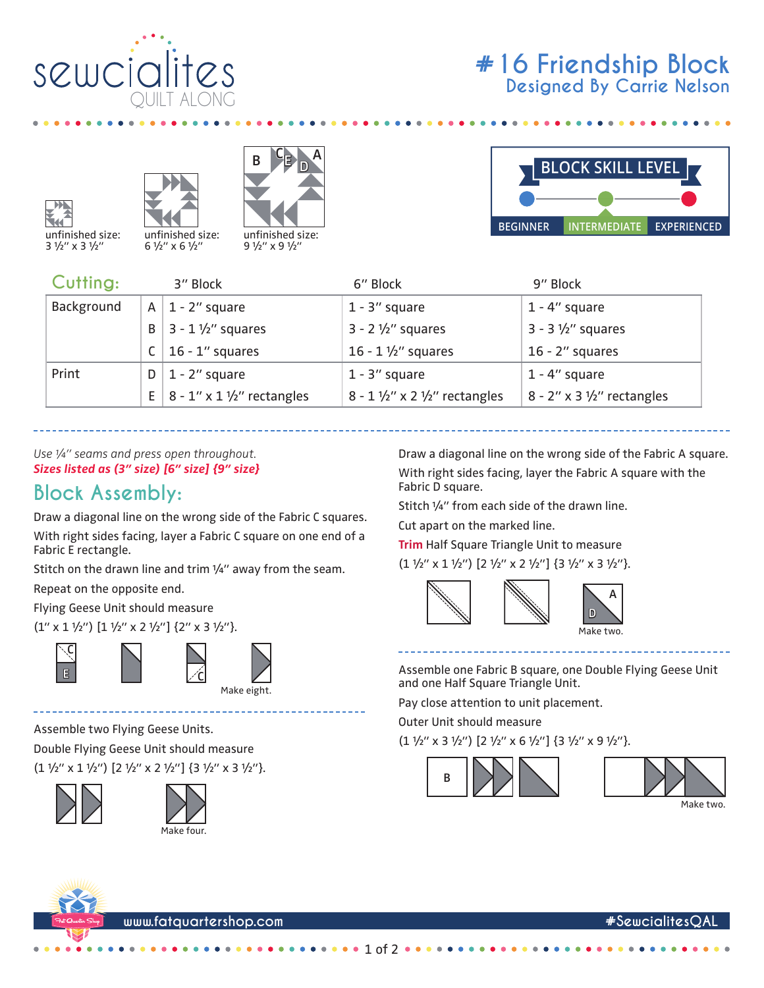











6 1/2" x 6 1/2" 9 1/2" x 9 1/2"



| Cutting:   |   | 3" Block                                        | 6" Block                                             | 9" Block                      |
|------------|---|-------------------------------------------------|------------------------------------------------------|-------------------------------|
| Background | A | $1 - 2$ " square                                | $1 - 3$ " square                                     | $1 - 4$ " square              |
|            | B | $3 - 1 \frac{1}{2}$ squares                     | $3 - 2 \frac{1}{2}$ squares                          | $3 - 3 \frac{1}{2}$ squares   |
|            |   | $16 - 1$ " squares                              | 16 - 1 $1/2$ " squares                               | $16 - 2$ " squares            |
| Print      | D | $1 - 2$ " square                                | $1 - 3$ " square                                     | $1 - 4$ " square              |
|            |   | E   $8 - 1'' \times 1 \frac{1}{2}''$ rectangles | $8 - 1 \frac{1}{2}$ " x 2 $\frac{1}{2}$ " rectangles | $8 - 2''$ x 3 1/2" rectangles |

*Use ¼" seams and press open throughout. Sizes listed as (3" size) [6" size] {9" size}*

## **Block Assembly:**

Draw a diagonal line on the wrong side of the Fabric C squares.

With right sides facing, layer a Fabric C square on one end of a Fabric E rectangle.

Stitch on the drawn line and trim 1/4" away from the seam.

Repeat on the opposite end.

Flying Geese Unit should measure

 $(1'' \times 1 \frac{1}{2}'') [1 \frac{1}{2}'' \times 2 \frac{1}{2}'']$  {2" x 3  $\frac{1}{2}''$  }.





Assemble two Flying Geese Units. Double Flying Geese Unit should measure (1  $1\frac{1}{2}$ " x 1  $1\frac{1}{2}$ ") [2  $1\frac{1}{2}$ " x 2  $1\frac{1}{2}$ "] {3  $1\frac{1}{2}$ " x 3  $1\frac{1}{2}$ "}.





Draw a diagonal line on the wrong side of the Fabric A square. With right sides facing, layer the Fabric A square with the Fabric D square.

Stitch 1/4" from each side of the drawn line.

Cut apart on the marked line.

**Trim** Half Square Triangle Unit to measure  $(1 \frac{1}{2}$ " x 1  $\frac{1}{2}$ ")  $[2 \frac{1}{2}$ " x 2  $\frac{1}{2}$ "]  $\{3 \frac{1}{2}$ " x 3  $\frac{1}{2}$ "}.



Assemble one Fabric B square, one Double Flying Geese Unit and one Half Square Triangle Unit.

Pay close attention to unit placement.

Outer Unit should measure

 $(1 \frac{1}{2}$ " x 3  $\frac{1}{2}$ ")  $[2 \frac{1}{2}$ " x 6  $\frac{1}{2}$ "]  $\{3 \frac{1}{2}$ " x 9  $\frac{1}{2}$ "}.





**www.fatquartershop.com #SewcialitesQAL**